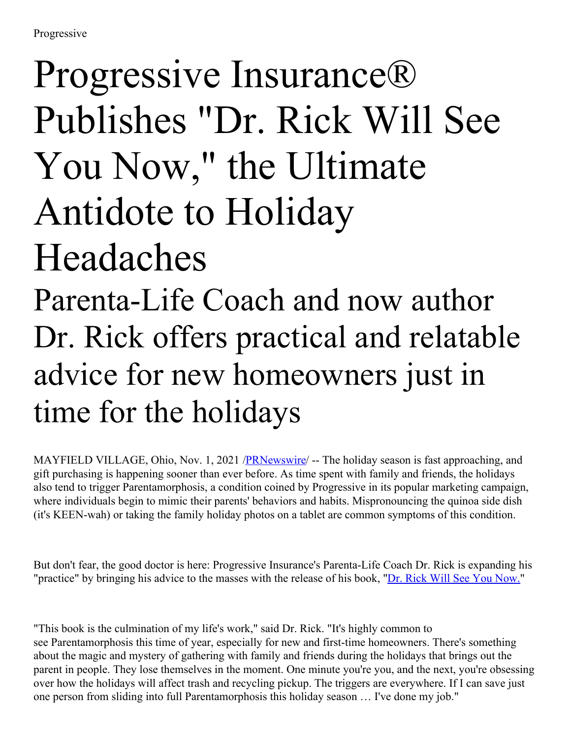## Progressive Insurance® Publishes "Dr. Rick Will See You Now, " the Ultimate Antidote to Holiday Headaches

Parenta-Life Coach and now author Dr. Rick offers practical and relatable advice for new homeowners just in time for the holidays

MAYFIELD VILLAGE, Ohio, Nov. 1, 2021 /**PRNewswire/** -- The holiday season is fast approaching, and gift purchasing is happening sooner than ever before. As time spent with family and friends, the holidays also tend to trigger Parentamorphosis, a condition coined by Progressive in its popular marketing campaign, where individuals begin to mimic their parents' behaviors and habits. Mispronouncing the quinoa side dish (it's KEEN-wah) or taking the family holiday photos on a tablet are common symptoms of this condition.

But don't fear, the good doctor is here: Progressive Insurance's Parenta-Life Coach Dr. Rick is expanding his "practice" by bringing his advice to the masses with the release of his book, "Dr. Rick Will See You [Now.](https://c212.net/c/link/?t=0&l=en&o=3342452-1&h=1986777267&u=https%3A%2F%2Fyoutu.be%2FlEP7PUdGa4U&a=Dr.+Rick+Will+See+You+Now.)"

"This book is the culmination of my life's work," said Dr. Rick. "It's highly common to see Parentamorphosis this time of year, especially for new and first-time homeowners. There's something about the magic and mystery of gathering with family and friends during the holidays that brings out the parent in people. They lose themselves in the moment. One minute you're you, and the next, you're obsessing over how the holidays will affect trash and recycling pickup. The triggers are everywhere. If I can save just one person from sliding into full Parentamorphosis this holiday season … I've done my job."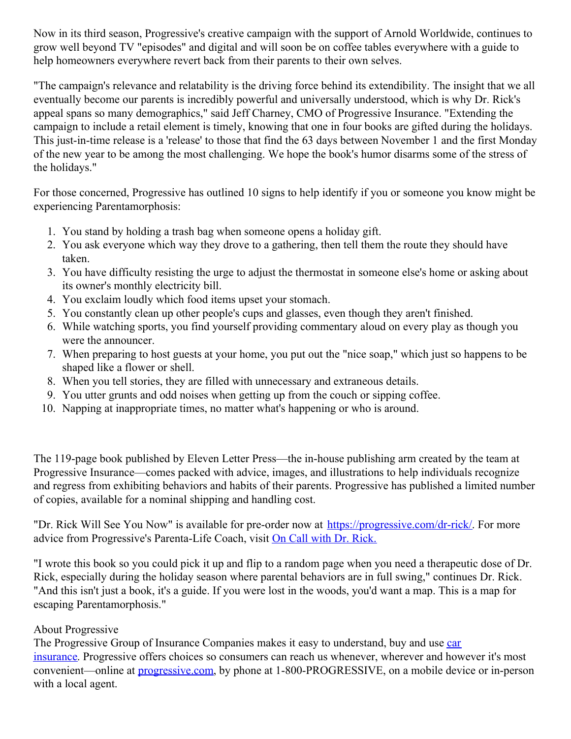Now in its third season, Progressive's creative campaign with the support of Arnold Worldwide, continues to grow well beyond TV "episodes" and digital and will soon be on coffee tables everywhere with a guide to help homeowners everywhere revert back from their parents to their own selves.

"The campaign's relevance and relatability is the driving force behind its extendibility. The insight that we all eventually become our parents is incredibly powerful and universally understood, which is why Dr. Rick's appeal spans so many demographics," said Jeff Charney, CMO of Progressive Insurance. "Extending the campaign to include a retail element is timely, knowing that one in four books are gifted during the holidays. This just-in-time release is a 'release' to those that find the 63 days between November 1 and the first Monday of the new year to be among the most challenging. We hope the book's humor disarms some of the stress of the holidays."

For those concerned, Progressive has outlined 10 signs to help identify if you or someone you know might be experiencing Parentamorphosis:

- 1. You stand by holding a trash bag when someone opens a holiday gift.
- 2. You ask everyone which way they drove to a gathering, then tell them the route they should have taken.
- 3. You have difficulty resisting the urge to adjust the thermostat in someone else's home or asking about its owner's monthly electricity bill.
- 4. You exclaim loudly which food items upset your stomach.
- 5. You constantly clean up other people's cups and glasses, even though they aren't finished.
- 6. While watching sports, you find yourself providing commentary aloud on every play as though you were the announcer.
- 7. When preparing to host guests at your home, you put out the "nice soap," which just so happens to be shaped like a flower or shell.
- 8. When you tell stories, they are filled with unnecessary and extraneous details.
- 9. You utter grunts and odd noises when getting up from the couch or sipping coffee.
- 10. Napping at inappropriate times, no matter what's happening or who is around.

The 119-page book published by Eleven Letter Press—the in-house publishing arm created by the team at Progressive Insurance—comes packed with advice, images, and illustrations to help individuals recognize and regress from exhibiting behaviors and habits of their parents. Progressive has published a limited number of copies, available for a nominal shipping and handling cost.

"Dr. Rick Will See You Now" is available for pre-order now at [https://progressive.com/dr-rick/](https://c212.net/c/link/?t=0&l=en&o=3342452-1&h=4020315246&u=https%3A%2F%2Fprogressive.com%2Fdr-rick%2F&a=https%3A%2F%2Fprogressive.com%2Fdr-rick%2F). For more advice from Progressive's Parenta-Life Coach, visit On Call with Dr. [Rick.](https://c212.net/c/link/?t=0&l=en&o=3342452-1&h=3293934280&u=https%3A%2F%2Fwww.youtube.com%2Fwatch%3Fv%3DgIYF8iE4QYQ&a=On+Call+with+Dr.+Rick.)

"I wrote this book so you could pick it up and flip to a random page when you need a therapeutic dose of Dr. Rick, especially during the holiday season where parental behaviors are in full swing," continues Dr. Rick. "And this isn't just a book, it's a guide. If you were lost in the woods, you'd want a map. This is a map for escaping Parentamorphosis."

## About Progressive

The [Progressive](https://c212.net/c/link/?t=0&l=en&o=3342452-1&h=4290516491&u=https%3A%2F%2Fc212.net%2Fc%2Flink%2F%3Ft%3D0%26l%3Den%26o%3D3092536-1%26h%3D1119383657%26u%3Dhttps%253A%252F%252Fwww.progressive.com%252Fauto%252F%26a%3Dauto%2Binsurance&a=car+insurance) Group of Insurance Companies makes it easy to understand, buy and use car insurance. Progressive offers choices so consumers can reach us whenever, wherever and however it's most convenient—online at [progressive.com](https://c212.net/c/link/?t=0&l=en&o=3342452-1&h=2903391992&u=https%3A%2F%2Fc212.net%2Fc%2Flink%2F%3Ft%3D0%26l%3Den%26o%3D3092536-1%26h%3D3761897063%26u%3Dhttps%253A%252F%252Fwww.progressive.com%252Fhome%252Fhome%252F%26a%3Dprogressive.com&a=progressive.com), by phone at 1-800-PROGRESSIVE, on a mobile device or in-person with a local agent.